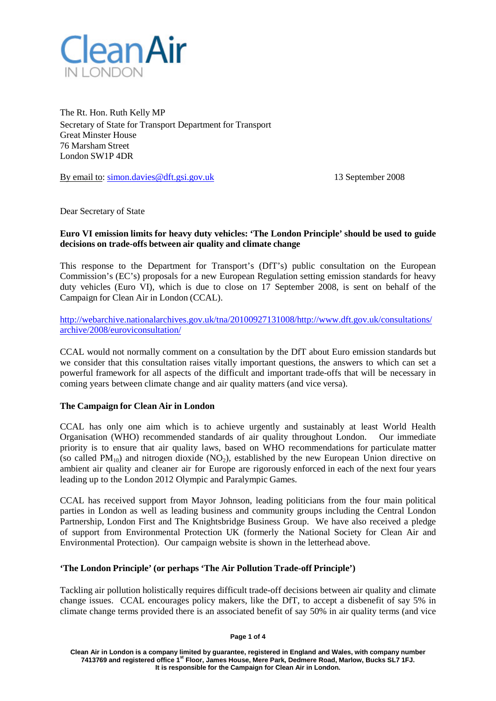

The Rt. Hon. Ruth Kelly MP Secretary of State for Transport Department for Transport Great Minster House 76 Marsham Street London SW1P 4DR

By email to: [simon.davies@dft.gsi.gov.uk](mailto:simon.davies@dft.gsi.gov.uk) 13 September 2008

Dear Secretary of State

# **Euro VI emission limits for heavy duty vehicles: 'The London Principle' should be used to guide decisions on trade-offs between air quality and climate change**

This response to the Department for Transport's (DfT's) public consultation on the European Commission's (EC's) proposals for a new European Regulation setting emission standards for heavy duty vehicles (Euro VI), which is due to close on 17 September 2008, is sent on behalf of the Campaign for Clean Air in London (CCAL).

[http://webarchive.nationalarchives.gov.uk/tna/20100927131008/http://www.dft.gov.uk/consultations/](http://webarchive.nationalarchives.gov.uk/tna/20100927131008/http:/www.dft.gov.uk/consultations/archive/2008/euroviconsultation/) [archive/2008/euroviconsultation/](http://webarchive.nationalarchives.gov.uk/tna/20100927131008/http:/www.dft.gov.uk/consultations/archive/2008/euroviconsultation/)

CCAL would not normally comment on a consultation by the DfT about Euro emission standards but we consider that this consultation raises vitally important questions, the answers to which can set a powerful framework for all aspects of the difficult and important trade-offs that will be necessary in coming years between climate change and air quality matters (and vice versa).

# **The Campaign for Clean Air in London**

CCAL has only one aim which is to achieve urgently and sustainably at least World Health Organisation (WHO) recommended standards of air quality throughout London. Our immediate priority is to ensure that air quality laws, based on WHO recommendations for particulate matter (so called  $PM_{10}$ ) and nitrogen dioxide (NO<sub>2</sub>), established by the new European Union directive on ambient air quality and cleaner air for Europe are rigorously enforced in each of the next four years leading up to the London 2012 Olympic and Paralympic Games.

CCAL has received support from Mayor Johnson, leading politicians from the four main political parties in London as well as leading business and community groups including the Central London Partnership, London First and The Knightsbridge Business Group. We have also received a pledge of support from Environmental Protection UK (formerly the National Society for Clean Air and Environmental Protection). Our campaign website is shown in the letterhead above.

# **'The London Principle' (or perhaps 'The Air Pollution Trade-off Principle')**

Tackling air pollution holistically requires difficult trade-off decisions between air quality and climate change issues. CCAL encourages policy makers, like the DfT, to accept a disbenefit of say 5% in climate change terms provided there is an associated benefit of say 50% in air quality terms (and vice

**Page 1 of 4**

**Clean Air in London is a company limited by guarantee, registered in England and Wales, with company number 7413769 and registered office 1st Floor, James House, Mere Park, Dedmere Road, Marlow, Bucks SL7 1FJ. It is responsible for the Campaign for Clean Air in London.**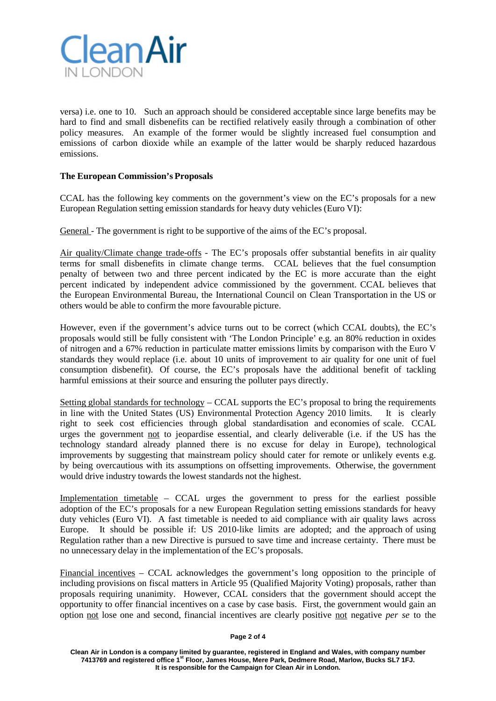

versa) i.e. one to 10. Such an approach should be considered acceptable since large benefits may be hard to find and small disbenefits can be rectified relatively easily through a combination of other policy measures. An example of the former would be slightly increased fuel consumption and emissions of carbon dioxide while an example of the latter would be sharply reduced hazardous emissions.

# **The European Commission's Proposals**

CCAL has the following key comments on the government's view on the EC's proposals for a new European Regulation setting emission standards for heavy duty vehicles (Euro VI):

General - The government is right to be supportive of the aims of the EC's proposal.

Air quality/Climate change trade-offs - The EC's proposals offer substantial benefits in air quality terms for small disbenefits in climate change terms. CCAL believes that the fuel consumption penalty of between two and three percent indicated by the EC is more accurate than the eight percent indicated by independent advice commissioned by the government. CCAL believes that the European Environmental Bureau, the International Council on Clean Transportation in the US or others would be able to confirm the more favourable picture.

However, even if the government's advice turns out to be correct (which CCAL doubts), the EC's proposals would still be fully consistent with 'The London Principle' e.g. an 80% reduction in oxides of nitrogen and a 67% reduction in particulate matter emissions limits by comparison with the Euro V standards they would replace (i.e. about 10 units of improvement to air quality for one unit of fuel consumption disbenefit). Of course, the EC's proposals have the additional benefit of tackling harmful emissions at their source and ensuring the polluter pays directly.

Setting global standards for technology – CCAL supports the EC's proposal to bring the requirements in line with the United States (US) Environmental Protection Agency 2010 limits. It is clearly right to seek cost efficiencies through global standardisation and economies of scale. CCAL urges the government not to jeopardise essential, and clearly deliverable (i.e. if the US has the technology standard already planned there is no excuse for delay in Europe), technological improvements by suggesting that mainstream policy should cater for remote or unlikely events e.g. by being overcautious with its assumptions on offsetting improvements. Otherwise, the government would drive industry towards the lowest standards not the highest.

Implementation timetable – CCAL urges the government to press for the earliest possible adoption of the EC's proposals for a new European Regulation setting emissions standards for heavy duty vehicles (Euro VI). A fast timetable is needed to aid compliance with air quality laws across Europe. It should be possible if: US 2010-like limits are adopted; and the approach of using Regulation rather than a new Directive is pursued to save time and increase certainty. There must be no unnecessary delay in the implementation of the EC's proposals.

Financial incentives – CCAL acknowledges the government's long opposition to the principle of including provisions on fiscal matters in Article 95 (Qualified Majority Voting) proposals, rather than proposals requiring unanimity. However, CCAL considers that the government should accept the opportunity to offer financial incentives on a case by case basis. First, the government would gain an option not lose one and second, financial incentives are clearly positive not negative *per se* to the

#### **Page 2 of 4**

**Clean Air in London is a company limited by guarantee, registered in England and Wales, with company number 7413769 and registered office 1st Floor, James House, Mere Park, Dedmere Road, Marlow, Bucks SL7 1FJ. It is responsible for the Campaign for Clean Air in London.**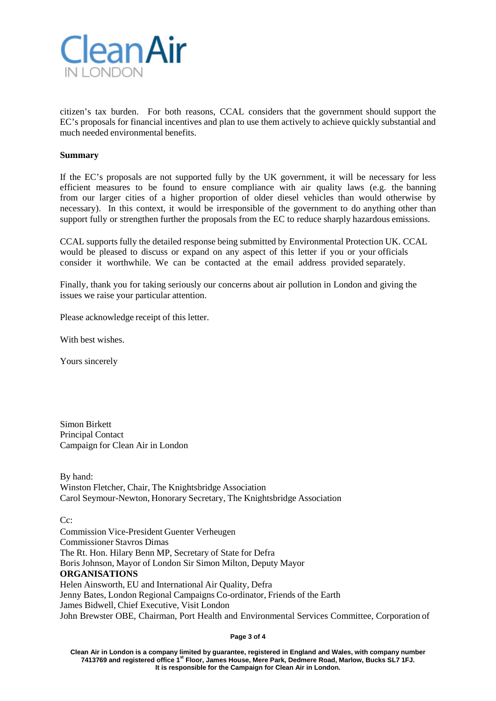

citizen's tax burden. For both reasons, CCAL considers that the government should support the EC's proposals for financial incentives and plan to use them actively to achieve quickly substantial and much needed environmental benefits.

#### **Summary**

If the EC's proposals are not supported fully by the UK government, it will be necessary for less efficient measures to be found to ensure compliance with air quality laws (e.g. the banning from our larger cities of a higher proportion of older diesel vehicles than would otherwise by necessary). In this context, it would be irresponsible of the government to do anything other than support fully or strengthen further the proposals from the EC to reduce sharply hazardous emissions.

CCAL supports fully the detailed response being submitted by Environmental Protection UK. CCAL would be pleased to discuss or expand on any aspect of this letter if you or your officials consider it worthwhile. We can be contacted at the email address provided separately.

Finally, thank you for taking seriously our concerns about air pollution in London and giving the issues we raise your particular attention.

Please acknowledge receipt of this letter.

With best wishes.

Yours sincerely

Simon Birkett Principal Contact Campaign for Clean Air in London

By hand: Winston Fletcher, Chair, The Knightsbridge Association Carol Seymour-Newton, Honorary Secretary, The Knightsbridge Association

C<sub>c</sub>:

Commission Vice-President Guenter Verheugen Commissioner Stavros Dimas The Rt. Hon. Hilary Benn MP, Secretary of State for Defra Boris Johnson, Mayor of London Sir Simon Milton, Deputy Mayor **ORGANISATIONS** Helen Ainsworth, EU and International Air Quality, Defra Jenny Bates, London Regional Campaigns Co-ordinator, Friends of the Earth James Bidwell, Chief Executive, Visit London John Brewster OBE, Chairman, Port Health and Environmental Services Committee, Corporation of

**Page 3 of 4**

**Clean Air in London is a company limited by guarantee, registered in England and Wales, with company number 7413769 and registered office 1st Floor, James House, Mere Park, Dedmere Road, Marlow, Bucks SL7 1FJ. It is responsible for the Campaign for Clean Air in London.**